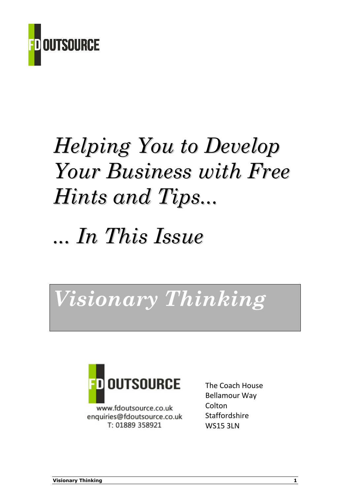

# Helping You to Develop Your Business with Free Hints and Tips...

# ... In This Issue

# Visionary Thinking



www.fdoutsource.co.uk enquiries@fdoutsource.co.uk T: 01889 358921

The Coach House Bellamour Way **Colton Staffordshire WS15 3LN**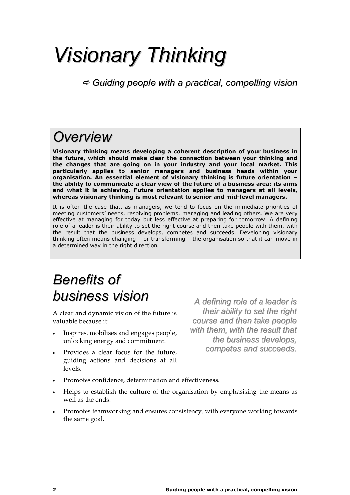# Visionary Thinking

 $\Rightarrow$  Guiding people with a practical, compelling vision

## **Overview**

Visionary thinking means developing a coherent description of your business in the future, which should make clear the connection between your thinking and the changes that are going on in your industry and your local market. This particularly applies to senior managers and business heads within your organisation. An essential element of visionary thinking is future orientation – the ability to communicate a clear view of the future of a business area: its aims and what it is achieving. Future orientation applies to managers at all levels, whereas visionary thinking is most relevant to senior and mid-level managers.

It is often the case that, as managers, we tend to focus on the immediate priorities of meeting customers' needs, resolving problems, managing and leading others. We are very effective at managing for today but less effective at preparing for tomorrow. A defining role of a leader is their ability to set the right course and then take people with them, with the result that the business develops, competes and succeeds. Developing visionary thinking often means changing – or transforming – the organisation so that it can move in a determined way in the right direction.

# Benefits of business vision

A clear and dynamic vision of the future is valuable because it:

- Inspires, mobilises and engages people, unlocking energy and commitment.
- Provides a clear focus for the future, guiding actions and decisions at all levels.

A defining role of a leader is their ability to set the right course and then take people with them, with the result that the business develops, competes and succeeds.

- Promotes confidence, determination and effectiveness.
- Helps to establish the culture of the organisation by emphasising the means as well as the ends.
- Promotes teamworking and ensures consistency, with everyone working towards the same goal.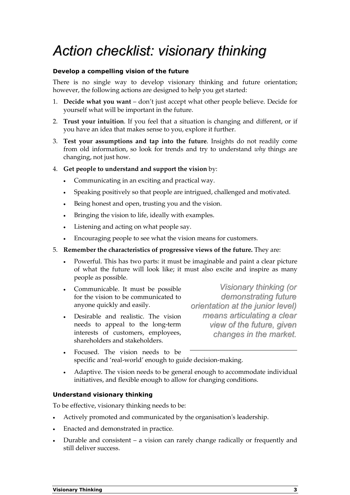# Action checklist: visionary thinking

### Develop a compelling vision of the future

There is no single way to develop visionary thinking and future orientation; however, the following actions are designed to help you get started:

- 1. Decide what you want don't just accept what other people believe. Decide for yourself what will be important in the future.
- 2. Trust your intuition. If you feel that a situation is changing and different, or if you have an idea that makes sense to you, explore it further.
- 3. Test your assumptions and tap into the future. Insights do not readily come from old information, so look for trends and try to understand why things are changing, not just how.
- 4. Get people to understand and support the vision by:
	- Communicating in an exciting and practical way.
	- Speaking positively so that people are intrigued, challenged and motivated.
	- Being honest and open, trusting you and the vision.
	- Bringing the vision to life, ideally with examples.
	- Listening and acting on what people say.
	- Encouraging people to see what the vision means for customers.
- 5. Remember the characteristics of progressive views of the future. They are:
	- Powerful. This has two parts: it must be imaginable and paint a clear picture of what the future will look like; it must also excite and inspire as many people as possible.
	- Communicable. It must be possible for the vision to be communicated to anyone quickly and easily.
	- Desirable and realistic. The vision needs to appeal to the long-term interests of customers, employees, shareholders and stakeholders.

Visionary thinking (or demonstrating future orientation at the junior level) means articulating a clear view of the future, given changes in the market.

- Focused. The vision needs to be specific and 'real-world' enough to guide decision-making.
- Adaptive. The vision needs to be general enough to accommodate individual initiatives, and flexible enough to allow for changing conditions.

### Understand visionary thinking

To be effective, visionary thinking needs to be:

- Actively promoted and communicated by the organisation's leadership.
- Enacted and demonstrated in practice.
- Durable and consistent a vision can rarely change radically or frequently and still deliver success.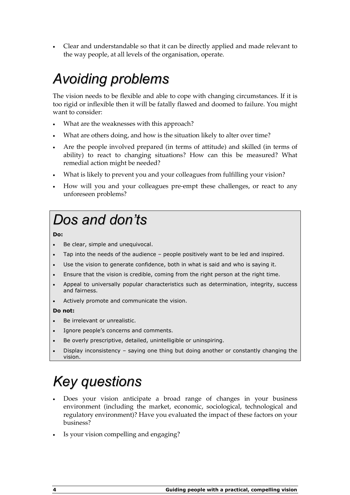• Clear and understandable so that it can be directly applied and made relevant to the way people, at all levels of the organisation, operate.

# Avoiding problems

The vision needs to be flexible and able to cope with changing circumstances. If it is too rigid or inflexible then it will be fatally flawed and doomed to failure. You might want to consider:

- What are the weaknesses with this approach?
- What are others doing, and how is the situation likely to alter over time?
- Are the people involved prepared (in terms of attitude) and skilled (in terms of ability) to react to changing situations? How can this be measured? What remedial action might be needed?
- What is likely to prevent you and your colleagues from fulfilling your vision?
- How will you and your colleagues pre-empt these challenges, or react to any unforeseen problems?

# Dos and don'ts

### Do:

- Be clear, simple and unequivocal.
- Tap into the needs of the audience people positively want to be led and inspired.
- Use the vision to generate confidence, both in what is said and who is saying it.
- Ensure that the vision is credible, coming from the right person at the right time.
- Appeal to universally popular characteristics such as determination, integrity, success and fairness.
- Actively promote and communicate the vision.

#### Do not:

- Be irrelevant or unrealistic.
- Ignore people's concerns and comments.
- Be overly prescriptive, detailed, unintelligible or uninspiring.
- Display inconsistency saying one thing but doing another or constantly changing the vision.

# Key questions

- Does your vision anticipate a broad range of changes in your business environment (including the market, economic, sociological, technological and regulatory environment)? Have you evaluated the impact of these factors on your business?
- Is your vision compelling and engaging?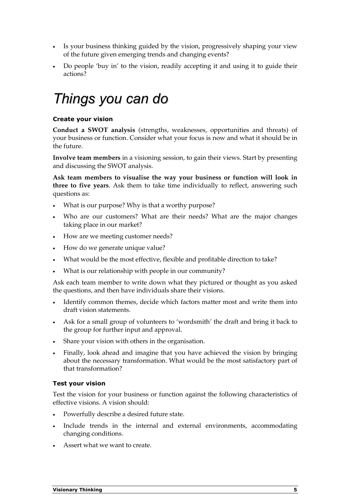- Is your business thinking guided by the vision, progressively shaping your view of the future given emerging trends and changing events?
- Do people 'buy in' to the vision, readily accepting it and using it to guide their actions?

## Things you can do

## Create your vision

Conduct a SWOT analysis (strengths, weaknesses, opportunities and threats) of your business or function. Consider what your focus is now and what it should be in the future.

Involve team members in a visioning session, to gain their views. Start by presenting and discussing the SWOT analysis.

Ask team members to visualise the way your business or function will look in three to five years. Ask them to take time individually to reflect, answering such questions as:

- What is our purpose? Why is that a worthy purpose?
- Who are our customers? What are their needs? What are the major changes taking place in our market?
- How are we meeting customer needs?
- How do we generate unique value?
- What would be the most effective, flexible and profitable direction to take?
- What is our relationship with people in our community?

Ask each team member to write down what they pictured or thought as you asked the questions, and then have individuals share their visions.

- Identify common themes, decide which factors matter most and write them into draft vision statements.
- Ask for a small group of volunteers to 'wordsmith' the draft and bring it back to the group for further input and approval.
- Share your vision with others in the organisation.
- Finally, look ahead and imagine that you have achieved the vision by bringing about the necessary transformation. What would be the most satisfactory part of that transformation?

### Test your vision

Test the vision for your business or function against the following characteristics of effective visions. A vision should:

- Powerfully describe a desired future state.
- Include trends in the internal and external environments, accommodating changing conditions.
- Assert what we want to create.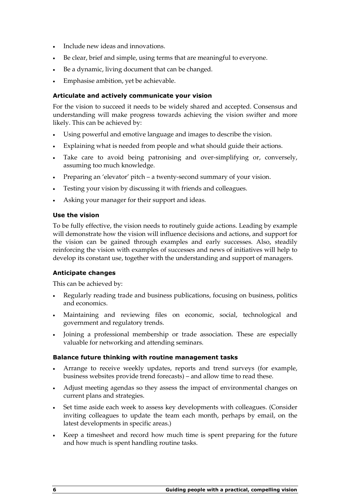- Include new ideas and innovations.
- Be clear, brief and simple, using terms that are meaningful to everyone.
- Be a dynamic, living document that can be changed.
- Emphasise ambition, yet be achievable.

## Articulate and actively communicate your vision

For the vision to succeed it needs to be widely shared and accepted. Consensus and understanding will make progress towards achieving the vision swifter and more likely. This can be achieved by:

- Using powerful and emotive language and images to describe the vision.
- Explaining what is needed from people and what should guide their actions.
- Take care to avoid being patronising and over-simplifying or, conversely, assuming too much knowledge.
- Preparing an 'elevator' pitch a twenty-second summary of your vision.
- Testing your vision by discussing it with friends and colleagues.
- Asking your manager for their support and ideas.

### Use the vision

To be fully effective, the vision needs to routinely guide actions. Leading by example will demonstrate how the vision will influence decisions and actions, and support for the vision can be gained through examples and early successes. Also, steadily reinforcing the vision with examples of successes and news of initiatives will help to develop its constant use, together with the understanding and support of managers.

### Anticipate changes

This can be achieved by:

- Regularly reading trade and business publications, focusing on business, politics and economics.
- Maintaining and reviewing files on economic, social, technological and government and regulatory trends.
- Joining a professional membership or trade association. These are especially valuable for networking and attending seminars.

### Balance future thinking with routine management tasks

- Arrange to receive weekly updates, reports and trend surveys (for example, business websites provide trend forecasts) – and allow time to read these.
- Adjust meeting agendas so they assess the impact of environmental changes on current plans and strategies.
- Set time aside each week to assess key developments with colleagues. (Consider inviting colleagues to update the team each month, perhaps by email, on the latest developments in specific areas.)
- Keep a timesheet and record how much time is spent preparing for the future and how much is spent handling routine tasks.